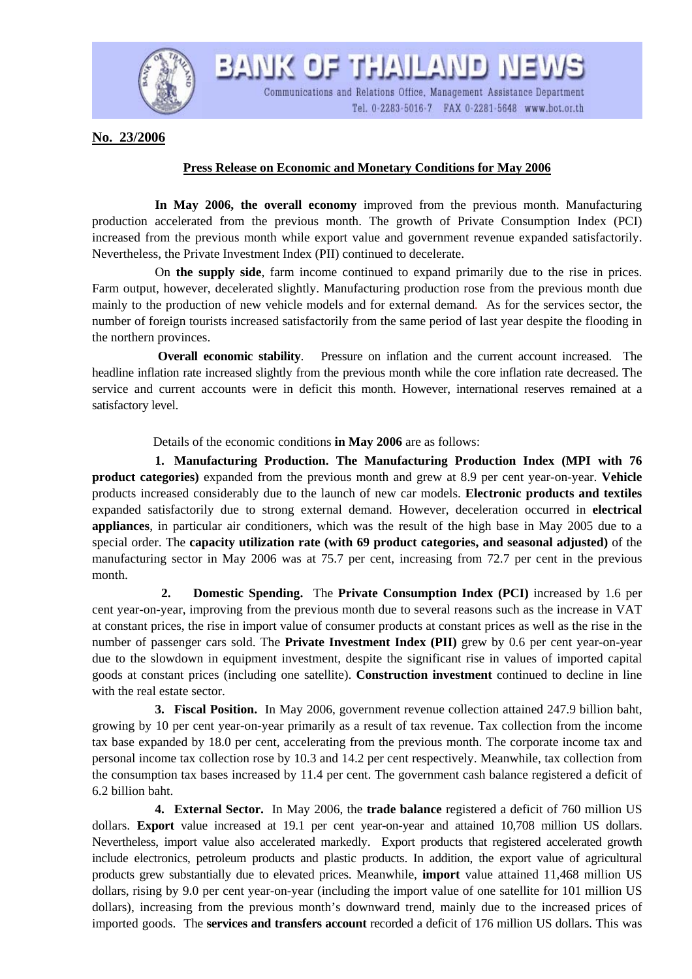

BANK OF THAILAND NEY Communications and Relations Office, Management Assistance Department

Tel. 0-2283-5016-7 FAX 0-2281-5648 www.bot.or.th

**No. 23/2006**

## **Press Release on Economic and Monetary Conditions for May 2006**

 **In May 2006, the overall economy** improved from the previous month. Manufacturing production accelerated from the previous month. The growth of Private Consumption Index (PCI) increased from the previous month while export value and government revenue expanded satisfactorily. Nevertheless, the Private Investment Index (PII) continued to decelerate.

 On **the supply side**, farm income continued to expand primarily due to the rise in prices. Farm output, however, decelerated slightly. Manufacturing production rose from the previous month due mainly to the production of new vehicle models and for external demand*.* As for the services sector, the number of foreign tourists increased satisfactorily from the same period of last year despite the flooding in the northern provinces.

**Overall economic stability**. Pressure on inflation and the current account increased. The headline inflation rate increased slightly from the previous month while the core inflation rate decreased. The service and current accounts were in deficit this month. However, international reserves remained at a satisfactory level.

Details of the economic conditions **in May 2006** are as follows:

 **1. Manufacturing Production. The Manufacturing Production Index (MPI with 76 product categories)** expanded from the previous month and grew at 8.9 per cent year-on-year. **Vehicle**  products increased considerably due to the launch of new car models. **Electronic products and textiles**  expanded satisfactorily due to strong external demand. However, deceleration occurred in **electrical appliances**, in particular air conditioners, which was the result of the high base in May 2005 due to a special order. The **capacity utilization rate (with 69 product categories, and seasonal adjusted)** of the manufacturing sector in May 2006 was at 75.7 per cent, increasing from 72.7 per cent in the previous month.

 **2. Domestic Spending.** The **Private Consumption Index (PCI)** increased by 1.6 per cent year-on-year, improving from the previous month due to several reasons such as the increase in VAT at constant prices, the rise in import value of consumer products at constant prices as well as the rise in the number of passenger cars sold. The **Private Investment Index (PII)** grew by 0.6 per cent year-on-year due to the slowdown in equipment investment, despite the significant rise in values of imported capital goods at constant prices (including one satellite). **Construction investment** continued to decline in line with the real estate sector.

**3. Fiscal Position.** In May 2006, government revenue collection attained 247.9 billion baht, growing by 10 per cent year-on-year primarily as a result of tax revenue. Tax collection from the income tax base expanded by 18.0 per cent, accelerating from the previous month. The corporate income tax and personal income tax collection rose by 10.3 and 14.2 per cent respectively. Meanwhile, tax collection from the consumption tax bases increased by 11.4 per cent. The government cash balance registered a deficit of 6.2 billion baht.

 **4. External Sector.** In May 2006, the **trade balance** registered a deficit of 760 million US dollars. **Export** value increased at 19.1 per cent year-on-year and attained 10,708 million US dollars. Nevertheless, import value also accelerated markedly. Export products that registered accelerated growth include electronics, petroleum products and plastic products. In addition, the export value of agricultural products grew substantially due to elevated prices. Meanwhile, **import** value attained 11,468 million US dollars, rising by 9.0 per cent year-on-year (including the import value of one satellite for 101 million US dollars), increasing from the previous month's downward trend, mainly due to the increased prices of imported goods. The **services and transfers account** recorded a deficit of 176 million US dollars. This was